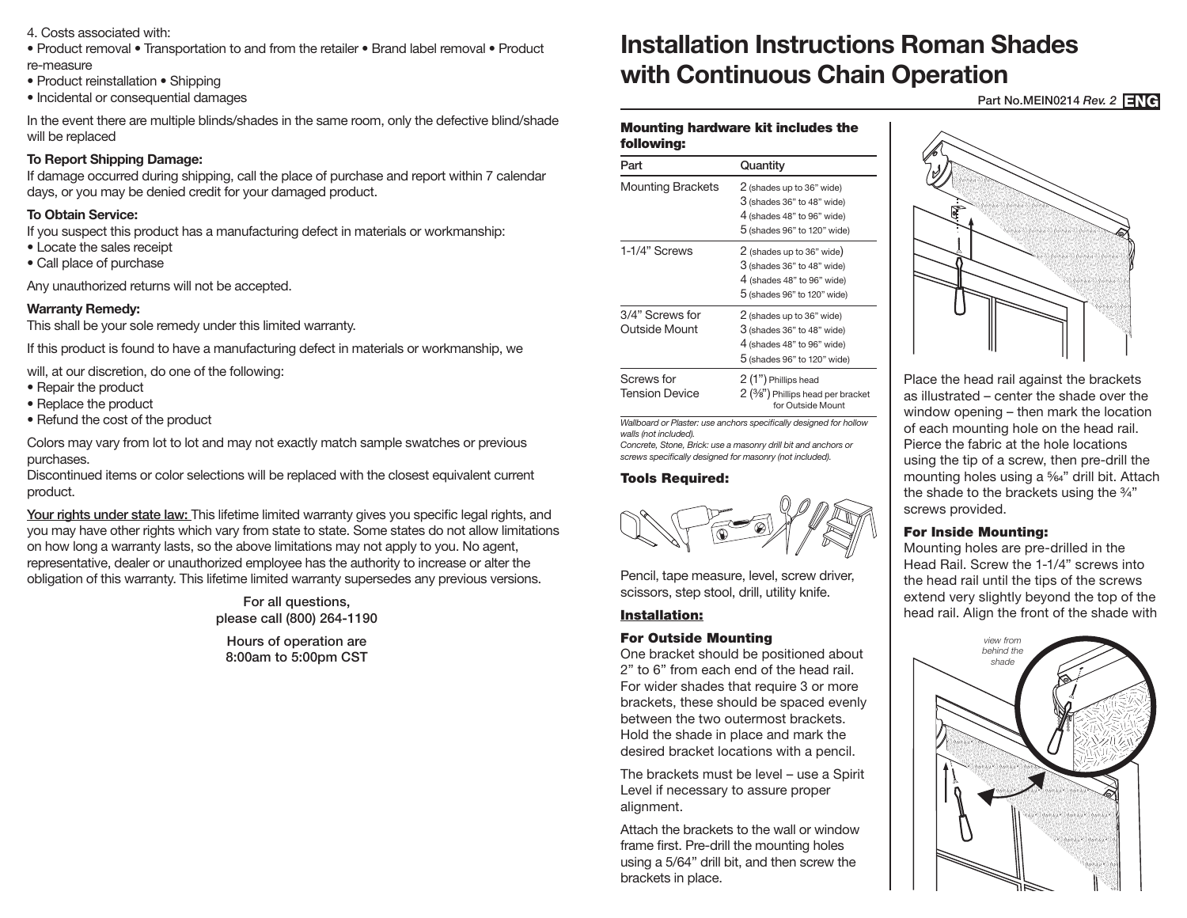- 4. Costs associated with:
- Product removal Transportation to and from the retailer Brand label removal Product re-measure
- Product reinstallation Shipping
- Incidental or consequential damages

In the event there are multiple blinds/shades in the same room, only the defective blind/shade will be replaced

# **To Report Shipping Damage:**

If damage occurred during shipping, call the place of purchase and report within 7 calendar days, or you may be denied credit for your damaged product.

# **To Obtain Service:**

If you suspect this product has a manufacturing defect in materials or workmanship:

- Locate the sales receipt
- Call place of purchase

Any unauthorized returns will not be accepted.

## **Warranty Remedy:**

This shall be your sole remedy under this limited warranty.

If this product is found to have a manufacturing defect in materials or workmanship, we

will, at our discretion, do one of the following:

- Repair the product
- Replace the product
- Refund the cost of the product

Colors may vary from lot to lot and may not exactly match sample swatches or previous purchases.

Discontinued items or color selections will be replaced with the closest equivalent current product.

Your rights under state law: This lifetime limited warranty gives you specific legal rights, and you may have other rights which vary from state to state. Some states do not allow limitations on how long a warranty lasts, so the above limitations may not apply to you. No agent, representative, dealer or unauthorized employee has the authority to increase or alter the obligation of this warranty. This lifetime limited warranty supersedes any previous versions.

> For all questions, please call (800) 264-1190

Hours of operation are 8:00am to 5:00pm CST

# **Installation Instructions Roman Shades with Continuous Chain Operation**

Part No.MEIN0214 *Rev. 2* ENG

#### Mounting hardware kit includes the following:

| Part                                | Quantity                                                                                                               |
|-------------------------------------|------------------------------------------------------------------------------------------------------------------------|
| <b>Mounting Brackets</b>            | 2 (shades up to 36" wide)<br>3 (shades 36" to 48" wide)<br>4 (shades 48" to 96" wide)<br>5 (shades 96" to 120" wide)   |
| 1-1/4" Screws                       | 2 (shades up to 36" wide)<br>$3$ (shades 36" to 48" wide)<br>4 (shades 48" to 96" wide)<br>5 (shades 96" to 120" wide) |
| 3/4" Screws for<br>Outside Mount    | 2 (shades up to 36" wide)<br>$3$ (shades 36" to 48" wide)<br>4 (shades 48" to 96" wide)<br>5 (shades 96" to 120" wide) |
| Screws for<br><b>Tension Device</b> | 2 (1") Phillips head<br>2 ( <sup>3</sup> /8") Phillips head per bracket<br>for Outside Mount                           |

*Wallboard or Plaster: use anchors specifically designed for hollow walls (not included). Concrete, Stone, Brick: use a masonry drill bit and anchors or* 

*screws specifically designed for masonry (not included).*

#### Tools Required:



Pencil, tape measure, level, screw driver, scissors, step stool, drill, utility knife.

## Installation:

## For Outside Mounting

One bracket should be positioned about 2" to 6" from each end of the head rail. For wider shades that require 3 or more brackets, these should be spaced evenly between the two outermost brackets. Hold the shade in place and mark the desired bracket locations with a pencil.

The brackets must be level – use a Spirit Level if necessary to assure proper alignment.

Attach the brackets to the wall or window frame first. Pre-drill the mounting holes using a 5/64" drill bit, and then screw the brackets in place.



Place the head rail against the brackets as illustrated – center the shade over the window opening – then mark the location of each mounting hole on the head rail. Pierce the fabric at the hole locations using the tip of a screw, then pre-drill the mounting holes using a 5/64" drill bit. Attach the shade to the brackets using the 3/4" screws provided.

## For Inside Mounting:

Mounting holes are pre-drilled in the Head Rail. Screw the 1-1/4" screws into the head rail until the tips of the screws extend very slightly beyond the top of the head rail. Align the front of the shade with